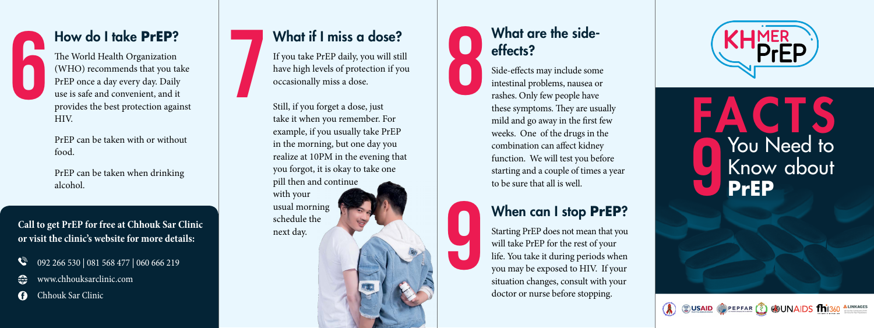

## How do I take **PrEP**?

The World Health Organization (WHO) recommends that you take PrEP once a day every day. Daily use is safe and convenient, and it provides the best protection against HIV. 6 7 8

PrEP can be taken with or without food.

PrEP can be taken when drinking alcohol.

**or visit the clinic's website for more details:** 

- 092 266 530 | 081 568 477 | 060 666 219
- www.chhouksarclinic.com
- A Chhouk Sar Clinic

# What if I miss a dose?

If you take PrEP daily, you will still have high levels of protection if you occasionally miss a dose.

Still, if you forget a dose, just take it when you remember. For example, if you usually take PrEP in the morning, but one day you realize at 10PM in the evening that you forgot, it is okay to take one pill then and continue with your usual morning schedule the next day. Call to get PrEP for free at Chhouk Sar Clinic since and morning schedule the or visit the clinic's website for more details:<br>
a 092 266 530 | 081 568 477 | 060 666 219<br>
a www.chhouksarclinic.com



#### Side-effects may include some intestinal problems, nausea or rashes. Only few people have these symptoms. They are usually mild and go away in the first few weeks. One of the drugs in the combination can affect kidney function. We will test you before starting and a couple of times a year to be sure that all is well.



## When can I stop **PrEP**?

Starting PrEP does not mean that you will take PrEP for the rest of your life. You take it during periods when you may be exposed to HIV. If your situation changes, consult with your doctor or nurse before stopping.





CUSAID PEPFAR (?) CUNAIDS M1360 ALINKAGES